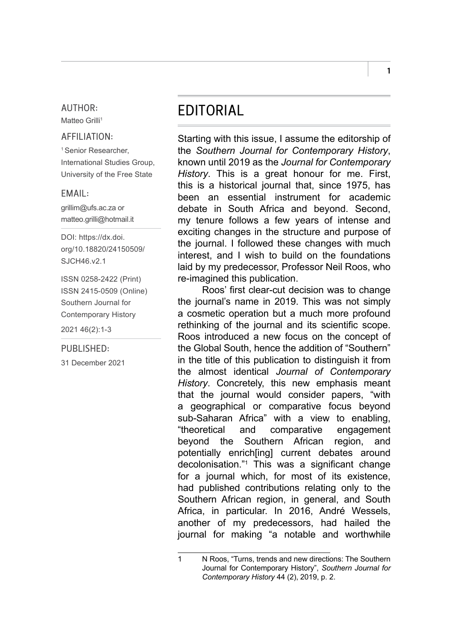### AUTHOR:

Matteo Grilli<sup>1</sup>

## AFFILIATION:

<sup>1</sup> Senior Researcher, International Studies Group, University of the Free State

## EMAIL:

[grillim@ufs.ac.za](mailto:grillim@ufs.ac.za) or [matteo.grilli@hotmail.it](mailto:matteo.grilli@hotmail.it)

DOI: [https://dx.doi.](https://dx.doi.org/10.18820/24150509/SJCH46.v2.1) [org/10.18820/24150509/](https://dx.doi.org/10.18820/24150509/SJCH46.v2.1) [SJCH46.v2.1](https://dx.doi.org/10.18820/24150509/SJCH46.v2.1)

ISSN 0258-2422 (Print) ISSN 2415-0509 (Online) Southern Journal for Contemporary History 2021 46(2):1-3

### PUBLISHED:

31 December 2021

# EDITORIAL

Starting with this issue, I assume the editorship of the *Southern Journal for Contemporary History*, known until 2019 as the *Journal for Contemporary History*. This is a great honour for me. First, this is a historical journal that, since 1975, has been an essential instrument for academic debate in South Africa and beyond. Second, my tenure follows a few years of intense and exciting changes in the structure and purpose of the journal. I followed these changes with much interest, and I wish to build on the foundations laid by my predecessor, Professor Neil Roos, who re-imagined this publication.

Roos' first clear-cut decision was to change the journal's name in 2019. This was not simply a cosmetic operation but a much more profound rethinking of the journal and its scientific scope. Roos introduced a new focus on the concept of the Global South, hence the addition of "Southern" in the title of this publication to distinguish it from the almost identical *Journal of Contemporary History*. Concretely, this new emphasis meant that the journal would consider papers, "with a geographical or comparative focus beyond sub-Saharan Africa" with a view to enabling, "theoretical and comparative engagement beyond the Southern African region, and potentially enrich[ing] current debates around decolonisation."1 This was a significant change for a journal which, for most of its existence, had published contributions relating only to the Southern African region, in general, and South Africa, in particular. In 2016, André Wessels, another of my predecessors, had hailed the journal for making "a notable and worthwhile

1

<sup>1</sup> N Roos, "Turns, trends and new directions: The Southern Journal for Contemporary History", *Southern Journal for Contemporary History* 44 (2), 2019, p. 2.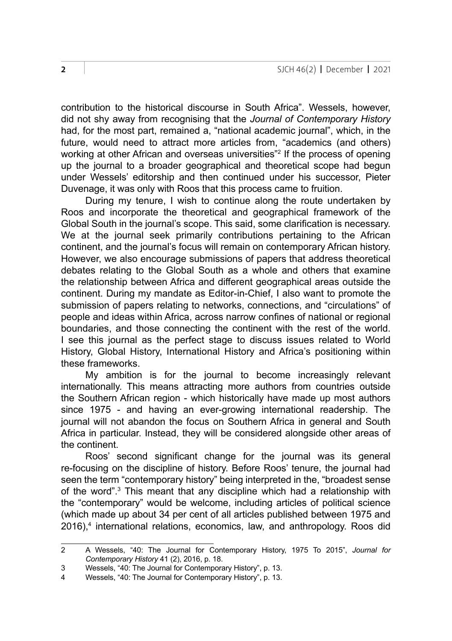contribution to the historical discourse in South Africa". Wessels, however, did not shy away from recognising that the *Journal of Contemporary History*  had, for the most part, remained a, "national academic journal", which, in the future, would need to attract more articles from, "academics (and others) working at other African and overseas universities"2 If the process of opening up the journal to a broader geographical and theoretical scope had begun under Wessels' editorship and then continued under his successor, Pieter Duvenage, it was only with Roos that this process came to fruition.

During my tenure, I wish to continue along the route undertaken by Roos and incorporate the theoretical and geographical framework of the Global South in the journal's scope. This said, some clarification is necessary. We at the journal seek primarily contributions pertaining to the African continent, and the journal's focus will remain on contemporary African history. However, we also encourage submissions of papers that address theoretical debates relating to the Global South as a whole and others that examine the relationship between Africa and different geographical areas outside the continent. During my mandate as Editor-in-Chief, I also want to promote the submission of papers relating to networks, connections, and "circulations" of people and ideas within Africa, across narrow confines of national or regional boundaries, and those connecting the continent with the rest of the world. I see this journal as the perfect stage to discuss issues related to World History, Global History, International History and Africa's positioning within these frameworks.

My ambition is for the journal to become increasingly relevant internationally. This means attracting more authors from countries outside the Southern African region - which historically have made up most authors since 1975 - and having an ever-growing international readership. The journal will not abandon the focus on Southern Africa in general and South Africa in particular. Instead, they will be considered alongside other areas of the continent.

Roos' second significant change for the journal was its general re-focusing on the discipline of history. Before Roos' tenure, the journal had seen the term "contemporary history" being interpreted in the, "broadest sense of the word".<sup>3</sup> This meant that any discipline which had a relationship with the "contemporary" would be welcome, including articles of political science (which made up about 34 per cent of all articles published between 1975 and 2016),4 international relations, economics, law, and anthropology. Roos did

<sup>2</sup> A Wessels, "40: The Journal for Contemporary History, 1975 To 2015", *Journal for Contemporary History* 41 (2), 2016, p. 18.

<sup>3</sup> Wessels, "40: The Journal for Contemporary History", p. 13.<br>4 Wessels, "40: The Journal for Contemporary History", p. 13.

Wessels, "40: The Journal for Contemporary History", p. 13.